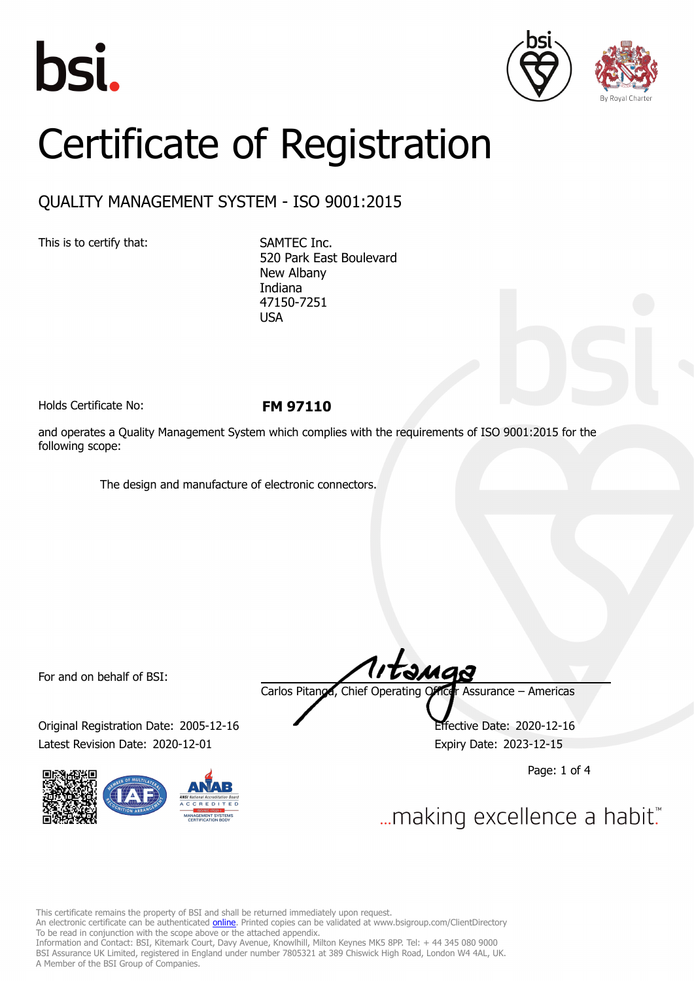





# Certificate of Registration

# QUALITY MANAGEMENT SYSTEM - ISO 9001:2015

This is to certify that: SAMTEC Inc.

520 Park East Boulevard New Albany Indiana 47150-7251 USA

Holds Certificate No: **FM 97110**

and operates a Quality Management System which complies with the requirements of ISO 9001:2015 for the following scope:

The design and manufacture of electronic connectors.

For and on behalf of BSI:

Original Registration Date: 2005-12-16 Effective Date: 2020-12-16 Latest Revision Date: 2020-12-01 Expiry Date: 2023-12-15



Carlos Pitanga, Chief Operating Officer Assurance – Americas

Page: 1 of 4

... making excellence a habit."

This certificate remains the property of BSI and shall be returned immediately upon request.

An electronic certificate can be authenticated *[online](https://pgplus.bsigroup.com/CertificateValidation/CertificateValidator.aspx?CertificateNumber=FM+97110&ReIssueDate=01%2f12%2f2020&Template=inc)*. Printed copies can be validated at www.bsigroup.com/ClientDirectory To be read in conjunction with the scope above or the attached appendix.

Information and Contact: BSI, Kitemark Court, Davy Avenue, Knowlhill, Milton Keynes MK5 8PP. Tel: + 44 345 080 9000 BSI Assurance UK Limited, registered in England under number 7805321 at 389 Chiswick High Road, London W4 4AL, UK. A Member of the BSI Group of Companies.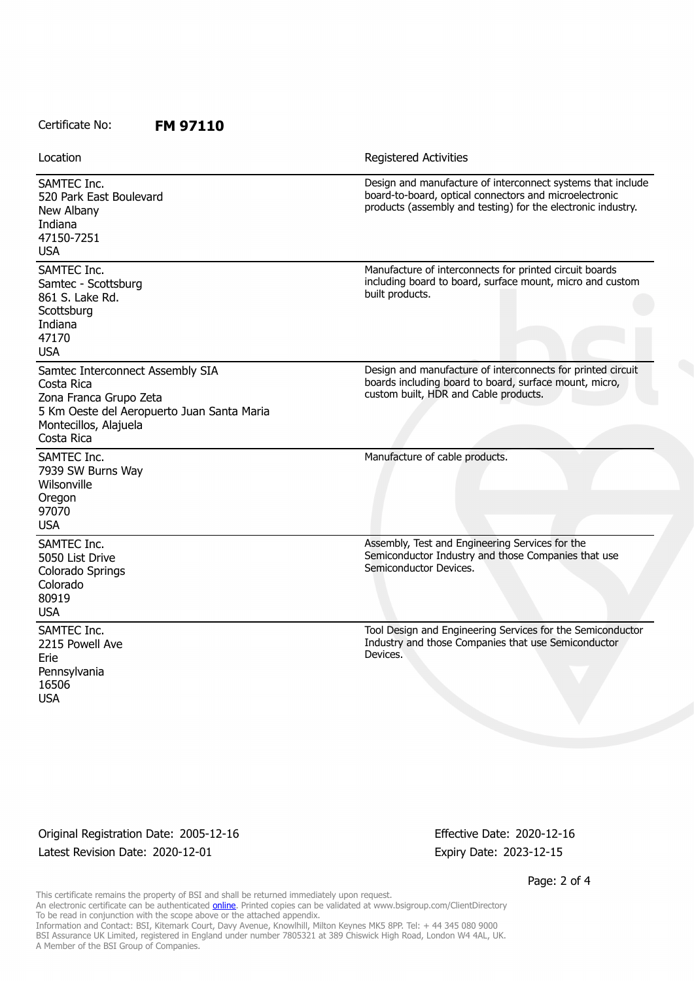## Certificate No: **FM 97110**

| Location                                                                                                                                                      | <b>Registered Activities</b>                                                                                                                                                          |
|---------------------------------------------------------------------------------------------------------------------------------------------------------------|---------------------------------------------------------------------------------------------------------------------------------------------------------------------------------------|
| SAMTEC Inc.<br>520 Park East Boulevard<br>New Albany<br>Indiana<br>47150-7251<br><b>USA</b>                                                                   | Design and manufacture of interconnect systems that include<br>board-to-board, optical connectors and microelectronic<br>products (assembly and testing) for the electronic industry. |
| SAMTEC Inc.<br>Samtec - Scottsburg<br>861 S. Lake Rd.<br>Scottsburg<br>Indiana<br>47170<br><b>USA</b>                                                         | Manufacture of interconnects for printed circuit boards<br>including board to board, surface mount, micro and custom<br>built products.                                               |
| Samtec Interconnect Assembly SIA<br>Costa Rica<br>Zona Franca Grupo Zeta<br>5 Km Oeste del Aeropuerto Juan Santa Maria<br>Montecillos, Alajuela<br>Costa Rica | Design and manufacture of interconnects for printed circuit<br>boards including board to board, surface mount, micro,<br>custom built, HDR and Cable products.                        |
| SAMTEC Inc.<br>7939 SW Burns Way<br>Wilsonville<br>Oregon<br>97070<br><b>USA</b>                                                                              | Manufacture of cable products.                                                                                                                                                        |
| SAMTEC Inc.<br>5050 List Drive<br>Colorado Springs<br>Colorado<br>80919<br><b>USA</b>                                                                         | Assembly, Test and Engineering Services for the<br>Semiconductor Industry and those Companies that use<br>Semiconductor Devices.                                                      |
| SAMTEC Inc.<br>2215 Powell Ave<br>Erie<br>Pennsylvania<br>16506<br><b>USA</b>                                                                                 | Tool Design and Engineering Services for the Semiconductor<br>Industry and those Companies that use Semiconductor<br>Devices.                                                         |

Original Registration Date: 2005-12-16 Effective Date: 2020-12-16 Latest Revision Date: 2020-12-01 Expiry Date: 2023-12-15

Page: 2 of 4

This certificate remains the property of BSI and shall be returned immediately upon request. An electronic certificate can be authenticated <u>[online](https://pgplus.bsigroup.com/CertificateValidation/CertificateValidator.aspx?CertificateNumber=FM+97110&ReIssueDate=01%2f12%2f2020&Template=inc)</u>. Printed copies can be validated at www.bsigroup.com/ClientDirectory To be read in conjunction with the scope above or the attached appendix. Information and Contact: BSI, Kitemark Court, Davy Avenue, Knowlhill, Milton Keynes MK5 8PP. Tel: + 44 345 080 9000 BSI Assurance UK Limited, registered in England under number 7805321 at 389 Chiswick High Road, London W4 4AL, UK. A Member of the BSI Group of Companies.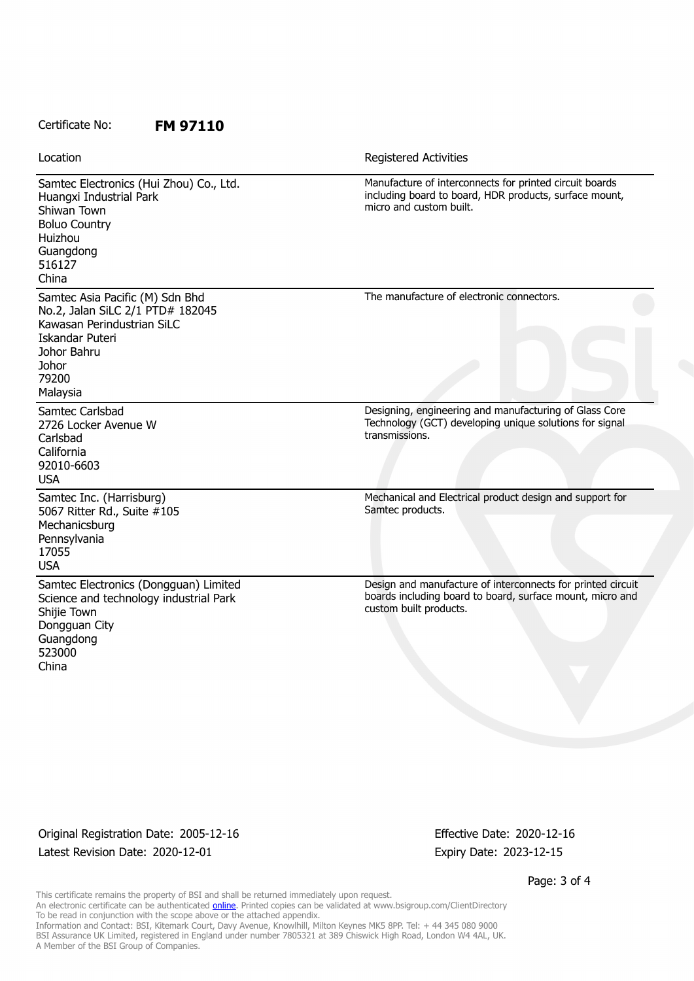#### Certificate No: **FM 97110**

| Location                                                                                                                                                          | Registered Activities                                                                                                                              |
|-------------------------------------------------------------------------------------------------------------------------------------------------------------------|----------------------------------------------------------------------------------------------------------------------------------------------------|
| Samtec Electronics (Hui Zhou) Co., Ltd.<br>Huangxi Industrial Park<br>Shiwan Town<br><b>Boluo Country</b><br>Huizhou<br>Guangdong<br>516127<br>China              | Manufacture of interconnects for printed circuit boards<br>including board to board, HDR products, surface mount,<br>micro and custom built.       |
| Samtec Asia Pacific (M) Sdn Bhd<br>No.2, Jalan SiLC 2/1 PTD# 182045<br>Kawasan Perindustrian SiLC<br>Iskandar Puteri<br>Johor Bahru<br>Johor<br>79200<br>Malaysia | The manufacture of electronic connectors.                                                                                                          |
| Samtec Carlsbad<br>2726 Locker Avenue W<br>Carlsbad<br>California<br>92010-6603<br><b>USA</b>                                                                     | Designing, engineering and manufacturing of Glass Core<br>Technology (GCT) developing unique solutions for signal<br>transmissions.                |
| Samtec Inc. (Harrisburg)<br>5067 Ritter Rd., Suite #105<br>Mechanicsburg<br>Pennsylvania<br>17055<br><b>USA</b>                                                   | Mechanical and Electrical product design and support for<br>Samtec products.                                                                       |
| Samtec Electronics (Dongguan) Limited<br>Science and technology industrial Park<br>Shijie Town<br>Dongguan City<br>Guangdong<br>523000<br>China                   | Design and manufacture of interconnects for printed circuit<br>boards including board to board, surface mount, micro and<br>custom built products. |

Original Registration Date: 2005-12-16 Effective Date: 2020-12-16 Latest Revision Date: 2020-12-01 Expiry Date: 2023-12-15

Page: 3 of 4

This certificate remains the property of BSI and shall be returned immediately upon request. An electronic certificate can be authenticated <u>[online](https://pgplus.bsigroup.com/CertificateValidation/CertificateValidator.aspx?CertificateNumber=FM+97110&ReIssueDate=01%2f12%2f2020&Template=inc)</u>. Printed copies can be validated at www.bsigroup.com/ClientDirectory To be read in conjunction with the scope above or the attached appendix. Information and Contact: BSI, Kitemark Court, Davy Avenue, Knowlhill, Milton Keynes MK5 8PP. Tel: + 44 345 080 9000 BSI Assurance UK Limited, registered in England under number 7805321 at 389 Chiswick High Road, London W4 4AL, UK. A Member of the BSI Group of Companies.